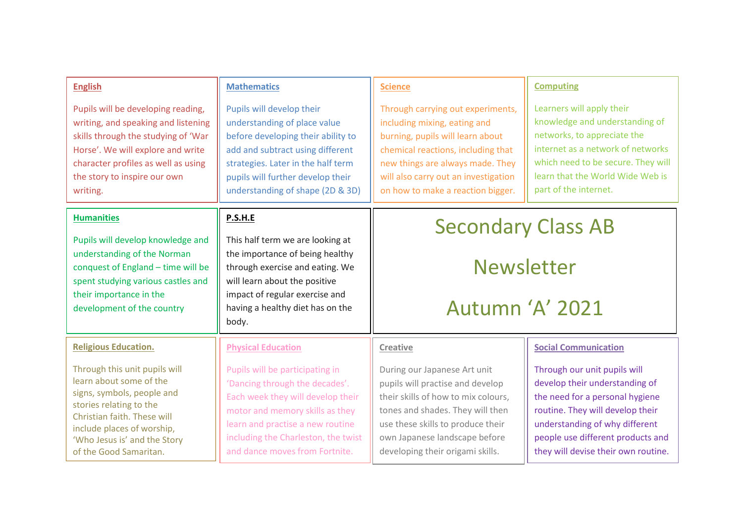| <b>English</b><br>Pupils will be developing reading,<br>writing, and speaking and listening                                                                                                                                              | <b>Mathematics</b><br>Pupils will develop their<br>understanding of place value                                                                                                                                                                        | <b>Science</b><br>Through carrying out experiments,<br>including mixing, eating and                                                                                                                                                                   | <b>Computing</b><br>Learners will apply their<br>knowledge and understanding of                                                                                                                                                                     |
|------------------------------------------------------------------------------------------------------------------------------------------------------------------------------------------------------------------------------------------|--------------------------------------------------------------------------------------------------------------------------------------------------------------------------------------------------------------------------------------------------------|-------------------------------------------------------------------------------------------------------------------------------------------------------------------------------------------------------------------------------------------------------|-----------------------------------------------------------------------------------------------------------------------------------------------------------------------------------------------------------------------------------------------------|
| skills through the studying of 'War<br>Horse'. We will explore and write<br>character profiles as well as using<br>the story to inspire our own<br>writing.                                                                              | before developing their ability to<br>add and subtract using different<br>strategies. Later in the half term<br>pupils will further develop their<br>understanding of shape (2D & 3D)                                                                  | burning, pupils will learn about<br>chemical reactions, including that<br>new things are always made. They<br>will also carry out an investigation<br>on how to make a reaction bigger.                                                               | networks, to appreciate the<br>internet as a network of networks<br>which need to be secure. They will<br>learn that the World Wide Web is<br>part of the internet.                                                                                 |
| <b>Humanities</b><br>Pupils will develop knowledge and                                                                                                                                                                                   | <b>P.S.H.E</b><br>This half term we are looking at                                                                                                                                                                                                     | <b>Secondary Class AB</b>                                                                                                                                                                                                                             |                                                                                                                                                                                                                                                     |
| understanding of the Norman<br>conquest of England - time will be<br>spent studying various castles and<br>their importance in the<br>development of the country                                                                         | the importance of being healthy<br>through exercise and eating. We<br>will learn about the positive<br>impact of regular exercise and<br>having a healthy diet has on the<br>body.                                                                     | <b>Newsletter</b>                                                                                                                                                                                                                                     |                                                                                                                                                                                                                                                     |
|                                                                                                                                                                                                                                          |                                                                                                                                                                                                                                                        | Autumn 'A' 2021                                                                                                                                                                                                                                       |                                                                                                                                                                                                                                                     |
| <b>Religious Education.</b>                                                                                                                                                                                                              | <b>Physical Education</b>                                                                                                                                                                                                                              | Creative                                                                                                                                                                                                                                              | <b>Social Communication</b>                                                                                                                                                                                                                         |
| Through this unit pupils will<br>learn about some of the<br>signs, symbols, people and<br>stories relating to the<br>Christian faith. These will<br>include places of worship,<br>'Who Jesus is' and the Story<br>of the Good Samaritan. | Pupils will be participating in<br>'Dancing through the decades'.<br>Each week they will develop their<br>motor and memory skills as they<br>learn and practise a new routine<br>including the Charleston, the twist<br>and dance moves from Fortnite. | During our Japanese Art unit<br>pupils will practise and develop<br>their skills of how to mix colours,<br>tones and shades. They will then<br>use these skills to produce their<br>own Japanese landscape before<br>developing their origami skills. | Through our unit pupils will<br>develop their understanding of<br>the need for a personal hygiene<br>routine. They will develop their<br>understanding of why different<br>people use different products and<br>they will devise their own routine. |